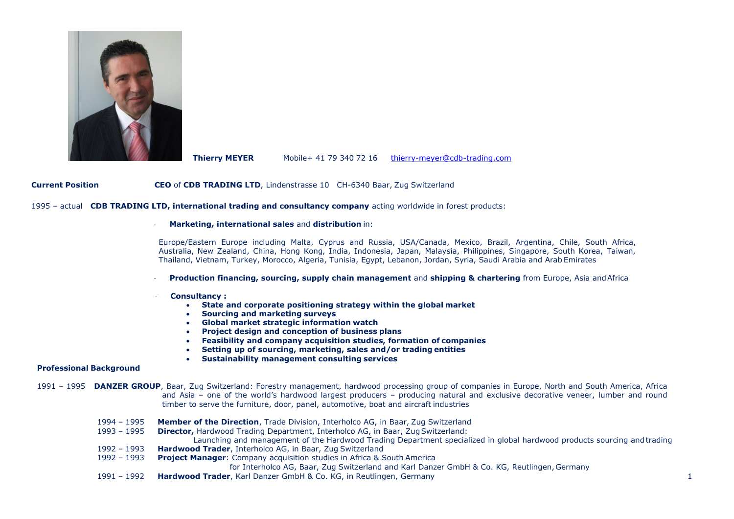

**Thierry MEYER** Mobile+ 41 79 340 72 16 [thierry-meyer@cdb-trading.com](mailto:thierry-meyer@cdb-trading.com)

**Current Position CEO** of **CDB TRADING LTD**, Lindenstrasse 10 CH-6340 Baar, Zug Switzerland

1995 – actual **CDB TRADING LTD, international trading and consultancy company** acting worldwide in forest products:

#### - **Marketing, international sales** and **distribution** in:

Europe/Eastern Europe including Malta, Cyprus and Russia, USA/Canada, Mexico, Brazil, Argentina, Chile, South Africa, Australia, New Zealand, China, Hong Kong, India, Indonesia, Japan, Malaysia, Philippines, Singapore, South Korea, Taiwan, Thailand, Vietnam, Turkey, Morocco, Algeria, Tunisia, Egypt, Lebanon, Jordan, Syria, Saudi Arabia and Arab Emirates

- **Production financing, sourcing, supply chain management** and **shipping & chartering** from Europe, Asia andAfrica
- **Consultancy :**
	- **State and corporate positioning strategy within the global market**
	- **Sourcing and marketing surveys**
	- **Global market strategic information watch**
	- **Project design and conception of business plans**
	- **Feasibility and company acquisition studies, formation of companies**
	- **Setting up of sourcing, marketing, sales and/or trading entities**
	- **Sustainability management consulting services**

#### **Professional Background**

1991 – 1995 **DANZER GROUP**, Baar, Zug Switzerland: Forestry management, hardwood processing group of companies in Europe, North and South America, Africa and Asia – one of the world's hardwood largest producers – producing natural and exclusive decorative veneer, lumber and round timber to serve the furniture, door, panel, automotive, boat and aircraft industries

- 1994 1995 **Member of the Direction**, Trade Division, Interholco AG, in Baar, Zug Switzerland
- 1993 1995 **Director,** Hardwood Trading Department, Interholco AG, in Baar, ZugSwitzerland:

Launching and management of the Hardwood Trading Department specialized in global hardwood products sourcing andtrading

- 1992 1993 **Hardwood Trader**, Interholco AG, in Baar, Zug Switzerland
- 1992 1993 **Project Manager**: Company acquisition studies in Africa & South America

for Interholco AG, Baar, Zug Switzerland and Karl Danzer GmbH & Co. KG, Reutlingen, Germany

1991 – 1992 **Hardwood Trader**, Karl Danzer GmbH & Co. KG, in Reutlingen, Germany 1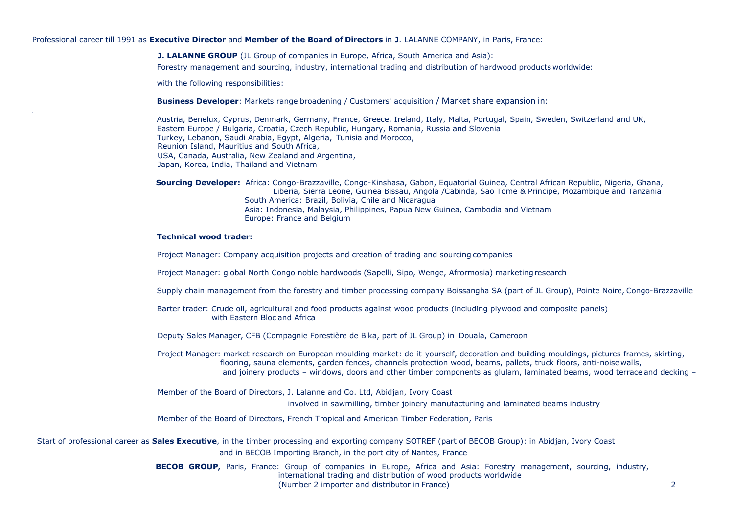Professional career till 1991 as **Executive Director** and **Member of the Board of Directors** in **J**. LALANNE COMPANY, in Paris, France:

**J. LALANNE GROUP** (JL Group of companies in Europe, Africa, South America and Asia): Forestry management and sourcing, industry, international trading and distribution of hardwood products worldwide:

with the following responsibilities:

**Business Developer**: Markets range broadening / Customers' acquisition / Market share expansion in:

Austria, Benelux, Cyprus, Denmark, Germany, France, Greece, Ireland, Italy, Malta, Portugal, Spain, Sweden, Switzerland and UK, Eastern Europe / Bulgaria, Croatia, Czech Republic, Hungary, Romania, Russia and Slovenia Turkey, Lebanon, Saudi Arabia, Egypt, Algeria, Tunisia and Morocco, Reunion Island, Mauritius and South Africa, USA, Canada, Australia, New Zealand and Argentina, Japan, Korea, India, Thailand and Vietnam

**Sourcing Developer:** Africa: Congo-Brazzaville, Congo-Kinshasa, Gabon, Equatorial Guinea, Central African Republic, Nigeria, Ghana, Liberia, Sierra Leone, Guinea Bissau, Angola /Cabinda, Sao Tome & Principe, Mozambique and Tanzania South America: Brazil, Bolivia, Chile and Nicaragua Asia: Indonesia, Malaysia, Philippines, Papua New Guinea, Cambodia and Vietnam Europe: France and Belgium

# **Technical wood trader:**

Project Manager: Company acquisition projects and creation of trading and sourcing companies

Project Manager: global North Congo noble hardwoods (Sapelli, Sipo, Wenge, Afrormosia) marketingresearch

Supply chain management from the forestry and timber processing company Boissangha SA (part of JL Group), Pointe Noire, Congo-Brazzaville

Barter trader: Crude oil, agricultural and food products against wood products (including plywood and composite panels) with Eastern Bloc and Africa

Deputy Sales Manager, CFB (Compagnie Forestière de Bika, part of JL Group) in Douala, Cameroon

Project Manager: market research on European moulding market: do-it-yourself, decoration and building mouldings, pictures frames, skirting, flooring, sauna elements, garden fences, channels protection wood, beams, pallets, truck floors, anti-noise walls, and joinery products – windows, doors and other timber components as glulam, laminated beams, wood terrace and decking –

Member of the Board of Directors, J. Lalanne and Co. Ltd, Abidjan, Ivory Coast

involved in sawmilling, timber joinery manufacturing and laminated beams industry

Member of the Board of Directors, French Tropical and American Timber Federation, Paris

Start of professional career as **Sales Executive**, in the timber processing and exporting company SOTREF (part of BECOB Group): in Abidjan, Ivory Coast and in BECOB Importing Branch, in the port city of Nantes, France

> **BECOB GROUP,** Paris, France: Group of companies in Europe, Africa and Asia: Forestry management, sourcing, industry, international trading and distribution of wood products worldwide (Number 2 importer and distributor in France) 2